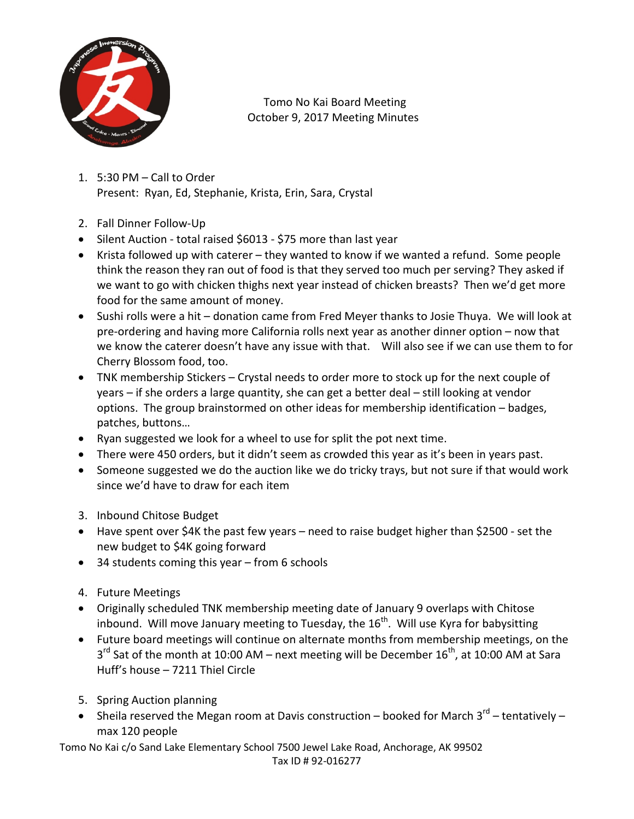

 Tomo No Kai Board Meeting October 9, 2017 Meeting Minutes

- 1. 5:30 PM Call to Order Present: Ryan, Ed, Stephanie, Krista, Erin, Sara, Crystal
- 2. Fall Dinner Follow-Up
- Silent Auction total raised \$6013 \$75 more than last year
- Krista followed up with caterer they wanted to know if we wanted a refund. Some people think the reason they ran out of food is that they served too much per serving? They asked if we want to go with chicken thighs next year instead of chicken breasts? Then we'd get more food for the same amount of money.
- Sushi rolls were a hit donation came from Fred Meyer thanks to Josie Thuya. We will look at pre-ordering and having more California rolls next year as another dinner option – now that we know the caterer doesn't have any issue with that. Will also see if we can use them to for Cherry Blossom food, too.
- TNK membership Stickers Crystal needs to order more to stock up for the next couple of years – if she orders a large quantity, she can get a better deal – still looking at vendor options. The group brainstormed on other ideas for membership identification – badges, patches, buttons…
- Ryan suggested we look for a wheel to use for split the pot next time.
- There were 450 orders, but it didn't seem as crowded this year as it's been in years past.
- Someone suggested we do the auction like we do tricky trays, but not sure if that would work since we'd have to draw for each item
- 3. Inbound Chitose Budget
- Have spent over \$4K the past few years need to raise budget higher than \$2500 set the new budget to \$4K going forward
- 34 students coming this year from 6 schools
- 4. Future Meetings
- Originally scheduled TNK membership meeting date of January 9 overlaps with Chitose inbound. Will move January meeting to Tuesday, the  $16<sup>th</sup>$ . Will use Kyra for babysitting
- Future board meetings will continue on alternate months from membership meetings, on the  $3<sup>rd</sup>$  Sat of the month at 10:00 AM – next meeting will be December 16<sup>th</sup>, at 10:00 AM at Sara Huff's house – 7211 Thiel Circle
- 5. Spring Auction planning
- Sheila reserved the Megan room at Davis construction booked for March  $3^{rd}$  tentatively max 120 people

Tomo No Kai c/o Sand Lake Elementary School 7500 Jewel Lake Road, Anchorage, AK 99502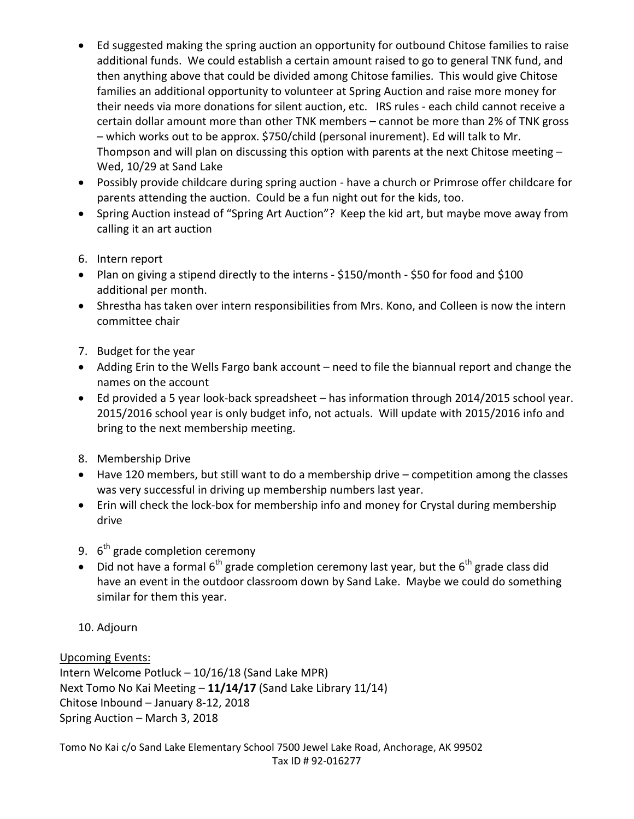- Ed suggested making the spring auction an opportunity for outbound Chitose families to raise additional funds. We could establish a certain amount raised to go to general TNK fund, and then anything above that could be divided among Chitose families. This would give Chitose families an additional opportunity to volunteer at Spring Auction and raise more money for their needs via more donations for silent auction, etc. IRS rules - each child cannot receive a certain dollar amount more than other TNK members – cannot be more than 2% of TNK gross – which works out to be approx. \$750/child (personal inurement). Ed will talk to Mr. Thompson and will plan on discussing this option with parents at the next Chitose meeting – Wed, 10/29 at Sand Lake
- Possibly provide childcare during spring auction have a church or Primrose offer childcare for parents attending the auction. Could be a fun night out for the kids, too.
- Spring Auction instead of "Spring Art Auction"? Keep the kid art, but maybe move away from calling it an art auction
- 6. Intern report
- Plan on giving a stipend directly to the interns \$150/month \$50 for food and \$100 additional per month.
- Shrestha has taken over intern responsibilities from Mrs. Kono, and Colleen is now the intern committee chair
- 7. Budget for the year
- Adding Erin to the Wells Fargo bank account need to file the biannual report and change the names on the account
- Ed provided a 5 year look-back spreadsheet has information through 2014/2015 school year. 2015/2016 school year is only budget info, not actuals. Will update with 2015/2016 info and bring to the next membership meeting.
- 8. Membership Drive
- Have 120 members, but still want to do a membership drive competition among the classes was very successful in driving up membership numbers last year.
- Erin will check the lock-box for membership info and money for Crystal during membership drive
- 9.  $6<sup>th</sup>$  grade completion ceremony
- Did not have a formal  $6<sup>th</sup>$  grade completion ceremony last year, but the  $6<sup>th</sup>$  grade class did have an event in the outdoor classroom down by Sand Lake. Maybe we could do something similar for them this year.
- 10. Adjourn

## Upcoming Events:

Intern Welcome Potluck – 10/16/18 (Sand Lake MPR) Next Tomo No Kai Meeting – **11/14/17** (Sand Lake Library 11/14) Chitose Inbound – January 8-12, 2018 Spring Auction – March 3, 2018